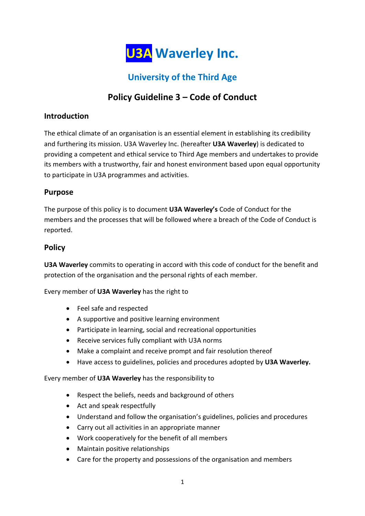

# **University of the Third Age**

## **Policy Guideline 3 – Code of Conduct**

#### **Introduction**

The ethical climate of an organisation is an essential element in establishing its credibility and furthering its mission. U3A Waverley Inc. (hereafter **U3A Waverley**) is dedicated to providing a competent and ethical service to Third Age members and undertakes to provide its members with a trustworthy, fair and honest environment based upon equal opportunity to participate in U3A programmes and activities.

### **Purpose**

The purpose of this policy is to document **U3A Waverley's** Code of Conduct for the members and the processes that will be followed where a breach of the Code of Conduct is reported.

#### **Policy**

**U3A Waverley** commits to operating in accord with this code of conduct for the benefit and protection of the organisation and the personal rights of each member.

Every member of **U3A Waverley** has the right to

- Feel safe and respected
- A supportive and positive learning environment
- Participate in learning, social and recreational opportunities
- Receive services fully compliant with U3A norms
- Make a complaint and receive prompt and fair resolution thereof
- Have access to guidelines, policies and procedures adopted by **U3A Waverley.**

Every member of **U3A Waverley** has the responsibility to

- Respect the beliefs, needs and background of others
- Act and speak respectfully
- Understand and follow the organisation's guidelines, policies and procedures
- Carry out all activities in an appropriate manner
- Work cooperatively for the benefit of all members
- Maintain positive relationships
- Care for the property and possessions of the organisation and members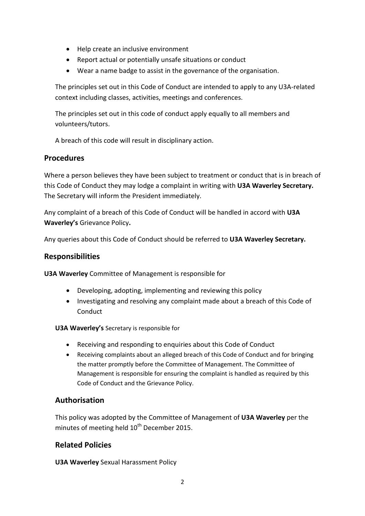- Help create an inclusive environment
- Report actual or potentially unsafe situations or conduct
- Wear a name badge to assist in the governance of the organisation.

The principles set out in this Code of Conduct are intended to apply to any U3A-related context including classes, activities, meetings and conferences.

The principles set out in this code of conduct apply equally to all members and volunteers/tutors.

A breach of this code will result in disciplinary action.

#### **Procedures**

Where a person believes they have been subject to treatment or conduct that is in breach of this Code of Conduct they may lodge a complaint in writing with **U3A Waverley Secretary.**  The Secretary will inform the President immediately.

Any complaint of a breach of this Code of Conduct will be handled in accord with **U3A Waverley's** Grievance Policy**.** 

Any queries about this Code of Conduct should be referred to **U3A Waverley Secretary.** 

#### **Responsibilities**

**U3A Waverley** Committee of Management is responsible for

- Developing, adopting, implementing and reviewing this policy
- Investigating and resolving any complaint made about a breach of this Code of **Conduct**

**U3A Waverley's** Secretary is responsible for

- Receiving and responding to enquiries about this Code of Conduct
- Receiving complaints about an alleged breach of this Code of Conduct and for bringing the matter promptly before the Committee of Management. The Committee of Management is responsible for ensuring the complaint is handled as required by this Code of Conduct and the Grievance Policy.

#### **Authorisation**

This policy was adopted by the Committee of Management of **U3A Waverley** per the minutes of meeting held  $10<sup>th</sup>$  December 2015.

#### **Related Policies**

**U3A Waverley** Sexual Harassment Policy